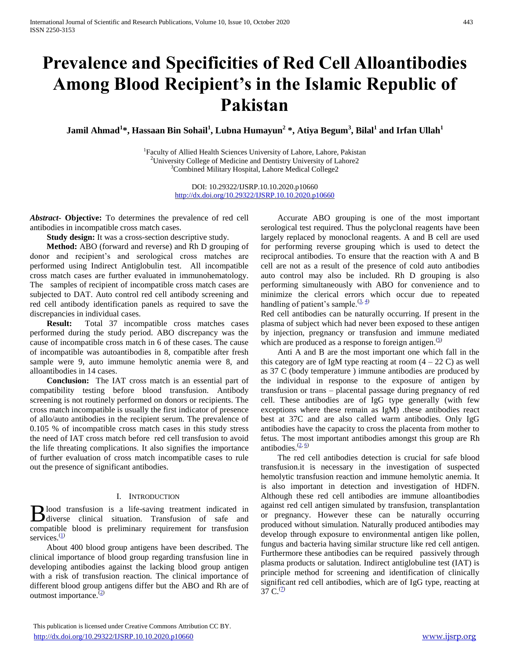# **Prevalence and Specificities of Red Cell Alloantibodies Among Blood Recipient's in the Islamic Republic of Pakistan**

**Jamil Ahmad<sup>1</sup> \*, Hassaan Bin Sohail<sup>1</sup> , Lubna Humayun<sup>2</sup> \*, Atiya Begum<sup>3</sup> , Bilal<sup>1</sup> and Irfan Ullah<sup>1</sup>**

<sup>1</sup>Faculty of Allied Health Sciences University of Lahore, Lahore, Pakistan  $2$ University College of Medicine and Dentistry University of Lahore2 <sup>3</sup>Combined Military Hospital, Lahore Medical College2

> DOI: 10.29322/IJSRP.10.10.2020.p10660 <http://dx.doi.org/10.29322/IJSRP.10.10.2020.p10660>

*Abstract***- Objective:** To determines the prevalence of red cell antibodies in incompatible cross match cases.

**Study design:** It was a cross-section descriptive study.

 **Method:** ABO (forward and reverse) and Rh D grouping of donor and recipient's and serological cross matches are performed using Indirect Antiglobulin test. All incompatible cross match cases are further evaluated in immunohematology. The samples of recipient of incompatible cross match cases are subjected to DAT. Auto control red cell antibody screening and red cell antibody identification panels as required to save the discrepancies in individual cases.

 **Result:** Total 37 incompatible cross matches cases performed during the study period. ABO discrepancy was the cause of incompatible cross match in 6 of these cases. The cause of incompatible was autoantibodies in 8, compatible after fresh sample were 9, auto immune hemolytic anemia were 8, and alloantibodies in 14 cases.

 **Conclusion:** The IAT cross match is an essential part of compatibility testing before blood transfusion. Antibody screening is not routinely performed on donors or recipients. The cross match incompatible is usually the first indicator of presence of allo/auto antibodies in the recipient serum. The prevalence of 0.105 % of incompatible cross match cases in this study stress the need of IAT cross match before red cell transfusion to avoid the life threating complications. It also signifies the importance of further evaluation of cross match incompatible cases to rule out the presence of significant antibodies.

## I. INTRODUCTION

lood transfusion is a life-saving treatment indicated in Blood transfusion is a life-saving treatment indicated in diverse clinical situation. Transfusion of safe and compatible blood is preliminary requirement for transfusion services. $<sup>(1)</sup>$ </sup>

 About 400 blood group antigens have been described. The clinical importance of blood group regarding transfusion line in developing antibodies against the lacking blood group antigen with a risk of transfusion reaction. The clinical importance of different blood group antigens differ but the ABO and Rh are of outmost importance.<sup>(2)</sup>

 Accurate ABO grouping is one of the most important serological test required. Thus the polyclonal reagents have been largely replaced by monoclonal reagents. A and B cell are used for performing reverse grouping which is used to detect the reciprocal antibodies. To ensure that the reaction with A and B cell are not as a result of the presence of cold auto antibodies auto control may also be included. Rh D grouping is also performing simultaneously with ABO for convenience and to minimize the clerical errors which occur due to repeated handling of patient's sample.  $(3, 4)$ 

Red cell antibodies can be naturally occurring. If present in the plasma of subject which had never been exposed to these antigen by injection, pregnancy or transfusion and immune mediated which are produced as a response to foreign antigen. $(5)$ 

 Anti A and B are the most important one which fall in the this category are of IgM type reacting at room  $(4 - 22 \text{ C})$  as well as 37 C (body temperature ) immune antibodies are produced by the individual in response to the exposure of antigen by transfusion or trans – placental passage during pregnancy of red cell. These antibodies are of IgG type generally (with few exceptions where these remain as IgM) .these antibodies react best at 37C and are also called warm antibodies. Only IgG antibodies have the capacity to cross the placenta from mother to fetus. The most important antibodies amongst this group are Rh antibodies.  $\frac{(2, 6)}{2}$ 

 The red cell antibodies detection is crucial for safe blood transfusion.it is necessary in the investigation of suspected hemolytic transfusion reaction and immune hemolytic anemia. It is also important in detection and investigation of HDFN. Although these red cell antibodies are immune alloantibodies against red cell antigen simulated by transfusion, transplantation or pregnancy. However these can be naturally occurring produced without simulation. Naturally produced antibodies may develop through exposure to environmental antigen like pollen, fungus and bacteria having similar structure like red cell antigen. Furthermore these antibodies can be required passively through plasma products or salutation. Indirect antiglobuline test (IAT) is principle method for screening and identification of clinically significant red cell antibodies, which are of IgG type, reacting at 37 C. $^{(2)}$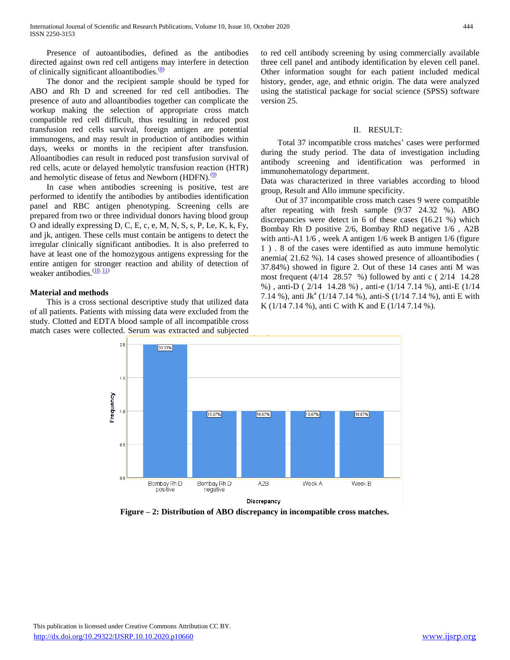Presence of autoantibodies, defined as the antibodies directed against own red cell antigens may interfere in detection of clinically significant alloantibodies.<sup>(8)</sup>

 The donor and the recipient sample should be typed for ABO and Rh D and screened for red cell antibodies. The presence of auto and alloantibodies together can complicate the workup making the selection of appropriate cross match compatible red cell difficult, thus resulting in reduced post transfusion red cells survival, foreign antigen are potential immunogens, and may result in production of antibodies within days, weeks or months in the recipient after transfusion. Alloantibodies can result in reduced post transfusion survival of red cells, acute or delayed hemolytic transfusion reaction (HTR) and hemolytic disease of fetus and Newborn (HDFN). $<sup>(9)</sup>$ </sup>

 In case when antibodies screening is positive, test are performed to identify the antibodies by antibodies identification panel and RBC antigen phenotyping. Screening cells are prepared from two or three individual donors having blood group O and ideally expressing D, C, E, c, e, M, N, S, s, P, Le, K, k, Fy, and jk, antigen. These cells must contain be antigens to detect the irregular clinically significant antibodies. It is also preferred to have at least one of the homozygous antigens expressing for the entire antigen for stronger reaction and ability of detection of weaker antibodies.  $\frac{(10, 11)}{1}$ 

# **Material and methods**

 This is a cross sectional descriptive study that utilized data of all patients. Patients with missing data were excluded from the study. Clotted and EDTA blood sample of all incompatible cross match cases were collected. Serum was extracted and subjected to red cell antibody screening by using commercially available three cell panel and antibody identification by eleven cell panel. Other information sought for each patient included medical history, gender, age, and ethnic origin. The data were analyzed using the statistical package for social science (SPSS) software version 25.

## II. RESULT:

 Total 37 incompatible cross matches' cases were performed during the study period. The data of investigation including antibody screening and identification was performed in immunohematology department.

Data was characterized in three variables according to blood group, Result and Allo immune specificity.

 Out of 37 incompatible cross match cases 9 were compatible after repeating with fresh sample (9/37 24.32 %). ABO discrepancies were detect in 6 of these cases (16.21 %) which Bombay Rh D positive 2/6, Bombay RhD negative 1/6 , A2B with anti-A1 1/6 , week A antigen 1/6 week B antigen 1/6 (figure 1 ) . 8 of the cases were identified as auto immune hemolytic anemia( 21.62 %). 14 cases showed presence of alloantibodies ( 37.84%) showed in figure 2. Out of these 14 cases anti M was most frequent (4/14 28.57 %) followed by anti c ( 2/14 14.28 %) , anti-D ( 2/14 14.28 %) , anti-e (1/14 7.14 %), anti-E (1/14 7.14 %), anti Jk<sup>a</sup> (1/14 7.14 %), anti-S (1/14 7.14 %), anti E with K (1/14 7.14 %), anti C with K and E (1/14 7.14 %).



**Figure – 2: Distribution of ABO discrepancy in incompatible cross matches.**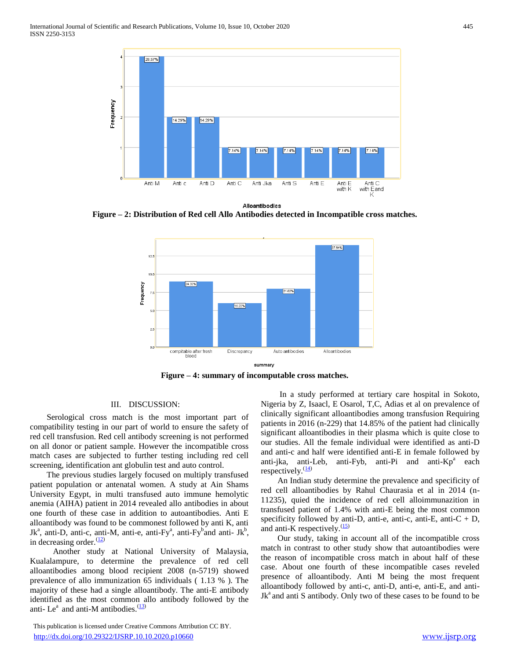

Alloantibodies

**Figure – 2: Distribution of Red cell Allo Antibodies detected in Incompatible cross matches.**



**Figure – 4: summary of incomputable cross matches.**

# III. DISCUSSION:

 Serological cross match is the most important part of compatibility testing in our part of world to ensure the safety of red cell transfusion. Red cell antibody screening is not performed on all donor or patient sample. However the incompatible cross match cases are subjected to further testing including red cell screening, identification ant globulin test and auto control.

 The previous studies largely focused on multiply transfused patient population or antenatal women. A study at Ain Shams University Egypt, in multi transfused auto immune hemolytic anemia (AIHA) patient in 2014 revealed allo antibodies in about one fourth of these case in addition to autoantibodies. Anti E alloantibody was found to be commonest followed by anti K, anti Jk<sup>a</sup>, anti-D, anti-c, anti-M, anti-e, anti-Fy<sup>a</sup>, anti-Fy<sup>b</sup>and anti-Jk<sup>b</sup>, in decreasing order. $\frac{(12)}{2}$ 

 Another study at National University of Malaysia, Kualalampure, to determine the prevalence of red cell alloantibodies among blood recipient 2008 (n-5719) showed prevalence of allo immunization 65 individuals ( 1.13 % ). The majority of these had a single alloantibody. The anti-E antibody identified as the most common allo antibody followed by the anti- Le<sup>a</sup> and anti-M antibodies. $\frac{(13)}{2}$ 

 This publication is licensed under Creative Commons Attribution CC BY. <http://dx.doi.org/10.29322/IJSRP.10.10.2020.p10660> [www.ijsrp.org](http://ijsrp.org/)

 In a study performed at tertiary care hospital in Sokoto, Nigeria by Z, Isaacl, E Osarol, T,C, Adias et al on prevalence of clinically significant alloantibodies among transfusion Requiring patients in 2016 (n-229) that 14.85% of the patient had clinically significant alloantibodies in their plasma which is quite close to our studies. All the female individual were identified as anti-D and anti-c and half were identified anti-E in female followed by anti-jka, anti-Leb, anti-Fyb, anti-Pi and anti- $Kp^a$  each respectively. $\frac{(14)}{2}$ 

 An Indian study determine the prevalence and specificity of red cell alloantibodies by Rahul Chaurasia et al in 2014 (n-11235), quied the incidence of red cell alloimmunazition in transfused patient of 1.4% with anti-E being the most common specificity followed by anti-D, anti-e, anti-c, anti-E, anti-C  $+$  D, and anti-K respectively. $\frac{(15)}{2}$ 

 Our study, taking in account all of the incompatible cross match in contrast to other study show that autoantibodies were the reason of incompatible cross match in about half of these case. About one fourth of these incompatible cases reveled presence of alloantibody. Anti M being the most frequent alloantibody followed by anti-c, anti-D, anti-e, anti-E, and anti- $Jk<sup>a</sup>$  and anti S antibody. Only two of these cases to be found to be